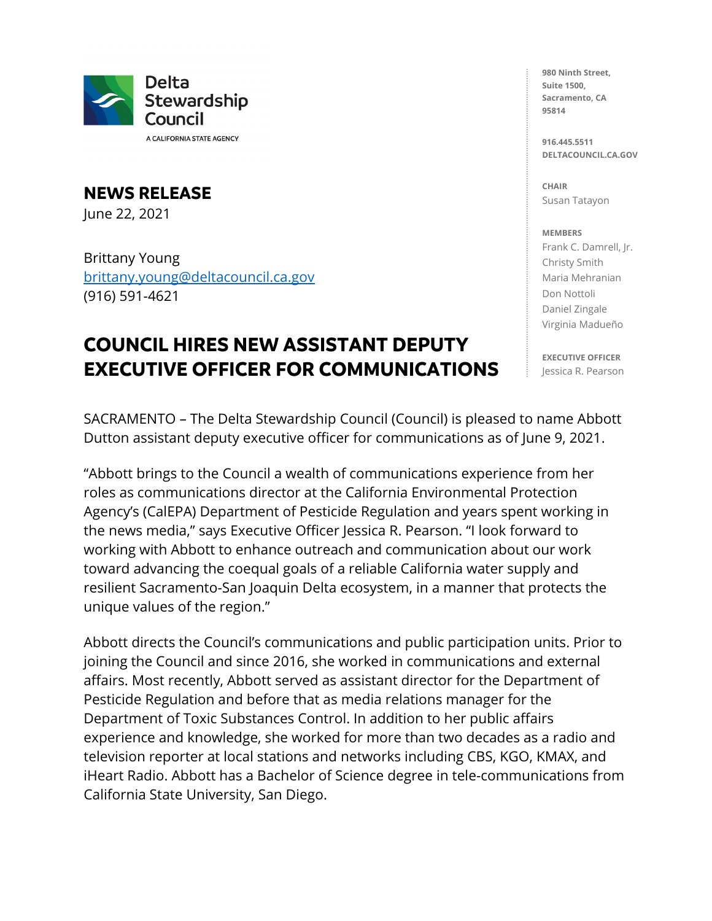

A CALIFORNIA STATE AGENCY

**NEWS RELEASE** June 22, 2021

Brittany Young [brittany.young@deltacouncil.ca.gov](mailto:brittany.young@deltacouncil.ca.gov)  (916) 591-4621

## **COUNCIL HIRES NEW ASSISTANT DEPUTY EXECUTIVE OFFICER FOR COMMUNICATIONS**

**980 Ninth Street, Suite 1500, Sacramento, CA 95814**

**916.445.5511 DELTACOUNCIL.CA.GOV**

**CHAIR** Susan Tatayon

## **MEMBERS**

Frank C. Damrell, Jr. Christy Smith Maria Mehranian Don Nottoli Daniel Zingale Virginia Madueño

**EXECUTIVE OFFICER** Jessica R. Pearson

SACRAMENTO – The Delta Stewardship Council (Council) is pleased to name Abbott Dutton assistant deputy executive officer for communications as of June 9, 2021.

"Abbott brings to the Council a wealth of communications experience from her roles as communications director at the California Environmental Protection Agency's (CalEPA) Department of Pesticide Regulation and years spent working in the news media," says Executive Officer Jessica R. Pearson. "I look forward to working with Abbott to enhance outreach and communication about our work toward advancing the coequal goals of a reliable California water supply and resilient Sacramento-San Joaquin Delta ecosystem, in a manner that protects the unique values of the region."

Abbott directs the Council's communications and public participation units. Prior to joining the Council and since 2016, she worked in communications and external affairs. Most recently, Abbott served as assistant director for the Department of Pesticide Regulation and before that as media relations manager for the Department of Toxic Substances Control. In addition to her public affairs experience and knowledge, she worked for more than two decades as a radio and television reporter at local stations and networks including CBS, KGO, KMAX, and iHeart Radio. Abbott has a Bachelor of Science degree in tele-communications from California State University, San Diego.